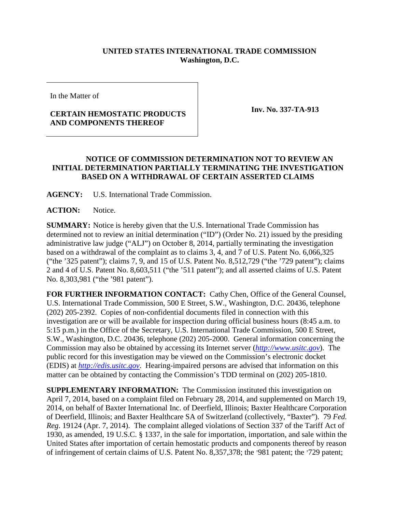## **UNITED STATES INTERNATIONAL TRADE COMMISSION Washington, D.C.**

In the Matter of

## **CERTAIN HEMOSTATIC PRODUCTS AND COMPONENTS THEREOF**

**Inv. No. 337-TA-913**

## **NOTICE OF COMMISSION DETERMINATION NOT TO REVIEW AN INITIAL DETERMINATION PARTIALLY TERMINATING THE INVESTIGATION BASED ON A WITHDRAWAL OF CERTAIN ASSERTED CLAIMS**

**AGENCY:** U.S. International Trade Commission.

**ACTION:** Notice.

**SUMMARY:** Notice is hereby given that the U.S. International Trade Commission has determined not to review an initial determination ("ID") (Order No. 21) issued by the presiding administrative law judge ("ALJ") on October 8, 2014, partially terminating the investigation based on a withdrawal of the complaint as to claims 3, 4, and 7 of U.S. Patent No. 6,066,325 ("the '325 patent"); claims 7, 9, and 15 of U.S. Patent No. 8,512,729 ("the '729 patent"); claims 2 and 4 of U.S. Patent No. 8,603,511 ("the '511 patent"); and all asserted claims of U.S. Patent No. 8,303,981 ("the '981 patent").

**FOR FURTHER INFORMATION CONTACT:** Cathy Chen, Office of the General Counsel, U.S. International Trade Commission, 500 E Street, S.W., Washington, D.C. 20436, telephone (202) 205-2392. Copies of non-confidential documents filed in connection with this investigation are or will be available for inspection during official business hours (8:45 a.m. to 5:15 p.m.) in the Office of the Secretary, U.S. International Trade Commission, 500 E Street, S.W., Washington, D.C. 20436, telephone (202) 205-2000. General information concerning the Commission may also be obtained by accessing its Internet server (*[http://www.usitc.gov](http://www.usitc.gov/)*). The public record for this investigation may be viewed on the Commission's electronic docket (EDIS) at *[http://edis.usitc.gov](http://edis.usitc.gov/)*. Hearing-impaired persons are advised that information on this matter can be obtained by contacting the Commission's TDD terminal on (202) 205-1810.

**SUPPLEMENTARY INFORMATION:** The Commission instituted this investigation on April 7, 2014, based on a complaint filed on February 28, 2014, and supplemented on March 19, 2014, on behalf of Baxter International Inc. of Deerfield, Illinois; Baxter Healthcare Corporation of Deerfield, Illinois; and Baxter Healthcare SA of Switzerland (collectively, "Baxter"). 79 *Fed. Reg*. 19124 (Apr. 7, 2014). The complaint alleged violations of Section 337 of the Tariff Act of 1930, as amended, 19 U.S.C. § 1337, in the sale for importation, importation, and sale within the United States after importation of certain hemostatic products and components thereof by reason of infringement of certain claims of U.S. Patent No. 8,357,378; the '981 patent; the '729 patent;